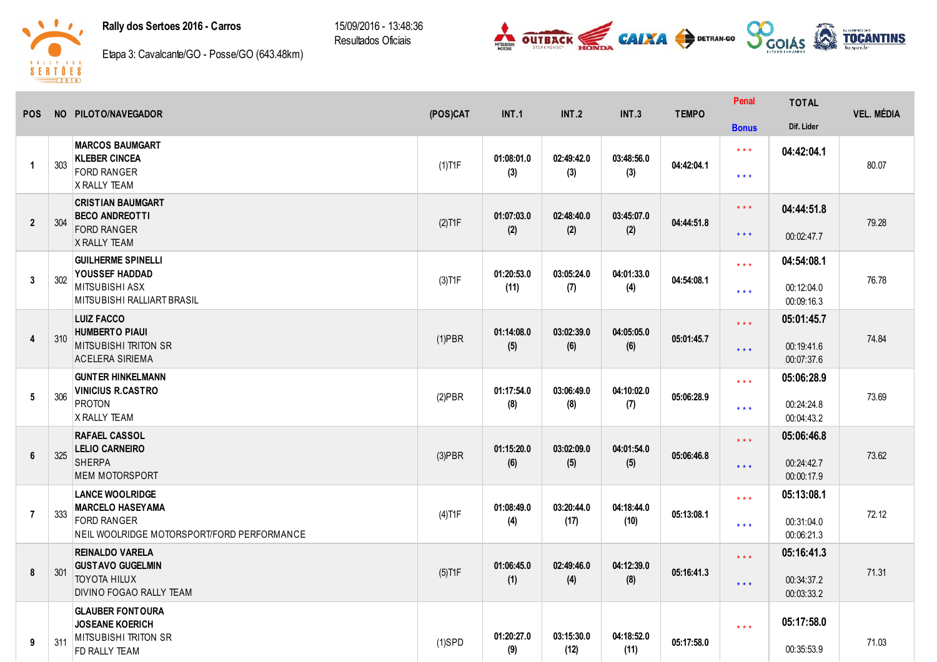## Rally dos Sertoes 2016 - Carros

15/09/2016 13:48:36 Resultados Oficiais





Etapa 3: Cavalcante/GO - Posse/GO (643.48km)

| <b>POS</b>     |     | NO PILOTO/NAVEGADOR                                                                                                   | (POS)CAT  | <b>INT.1</b>       | <b>INT.2</b>       | INT.3              | <b>TEMPO</b> | Penal                                              | <b>TOTAL</b>                           | <b>VEL. MÉDIA</b> |
|----------------|-----|-----------------------------------------------------------------------------------------------------------------------|-----------|--------------------|--------------------|--------------------|--------------|----------------------------------------------------|----------------------------------------|-------------------|
|                |     |                                                                                                                       |           |                    |                    |                    |              | <b>Bonus</b>                                       | Dif. Lider                             |                   |
| $\overline{1}$ | 303 | <b>MARCOS BAUMGART</b><br><b>KLEBER CINCEA</b><br><b>FORD RANGER</b><br><b>X RALLY TEAM</b>                           | $(1)$ T1F | 01:08:01.0<br>(3)  | 02:49:42.0<br>(3)  | 03:48:56.0<br>(3)  | 04:42:04.1   | $***$<br>$\star\star\star$                         | 04:42:04.1                             | 80.07             |
| $\overline{2}$ | 304 | <b>CRISTIAN BAUMGART</b><br><b>BECO ANDREOTTI</b><br><b>FORD RANGER</b><br><b>X RALLY TEAM</b>                        | $(2)$ T1F | 01:07:03.0<br>(2)  | 02:48:40.0<br>(2)  | 03:45:07.0<br>(2)  | 04:44:51.8   | $\star$ $\star$ $\star$<br>$\star$ $\star$ $\star$ | 04:44:51.8<br>00:02:47.7               | 79.28             |
| 3              | 302 | <b>GUILHERME SPINELLI</b><br>YOUSSEF HADDAD<br><b>MITSUBISHI ASX</b><br>MITSUBISHI RALLIART BRASIL                    | $(3)$ T1F | 01:20:53.0<br>(11) | 03:05:24.0<br>(7)  | 04:01:33.0<br>(4)  | 04:54:08.1   | $***$<br>$***$                                     | 04:54:08.1<br>00:12:04.0<br>00:09:16.3 | 76.78             |
| $\overline{4}$ | 310 | <b>LUIZ FACCO</b><br><b>HUMBERTO PIAUI</b><br><b>MITSUBISHI TRITON SR</b><br><b>ACELERA SIRIEMA</b>                   | $(1)$ PBR | 01:14:08.0<br>(5)  | 03:02:39.0<br>(6)  | 04:05:05.0<br>(6)  | 05:01:45.7   | $***$<br>$***$                                     | 05:01:45.7<br>00:19:41.6<br>00:07:37.6 | 74.84             |
| 5              | 306 | <b>GUNTER HINKELMANN</b><br><b>VINICIUS R.CASTRO</b><br><b>PROTON</b><br>X RALLY TEAM                                 | $(2)$ PBR | 01:17:54.0<br>(8)  | 03:06:49.0<br>(8)  | 04:10:02.0<br>(7)  | 05:06:28.9   | $***$<br>$* * *$                                   | 05:06:28.9<br>00:24:24.8<br>00:04:43.2 | 73.69             |
| $6\phantom{1}$ | 325 | <b>RAFAEL CASSOL</b><br><b>LELIO CARNEIRO</b><br><b>SHERPA</b><br><b>MEM MOTORSPORT</b>                               | $(3)$ PBR | 01:15:20.0<br>(6)  | 03:02:09.0<br>(5)  | 04:01:54.0<br>(5)  | 05:06:46.8   | $***$<br>$\star\star\star$                         | 05:06:46.8<br>00:24:42.7<br>00:00:17.9 | 73.62             |
| $\overline{7}$ | 333 | <b>LANCE WOOLRIDGE</b><br><b>MARCELO HASEYAMA</b><br><b>FORD RANGER</b><br>NEIL WOOLRIDGE MOTORSPORT/FORD PERFORMANCE | $(4)$ T1F | 01:08:49.0<br>(4)  | 03:20:44.0<br>(17) | 04:18:44.0<br>(10) | 05:13:08.1   | $\star$ $\star$ $\star$<br>$***$                   | 05:13:08.1<br>00:31:04.0<br>00:06:21.3 | 72.12             |
| 8              | 301 | <b>REINALDO VARELA</b><br><b>GUSTAVO GUGELMIN</b><br><b>TOYOTA HILUX</b><br>DIVINO FOGAO RALLY TEAM                   | $(5)$ T1F | 01:06:45.0<br>(1)  | 02:49:46.0<br>(4)  | 04:12:39.0<br>(8)  | 05:16:41.3   | $\star$ $\star$ $\star$<br>$\star$ $\star$ $\star$ | 05:16:41.3<br>00:34:37.2<br>00:03:33.2 | 71.31             |
| 9              | 311 | <b>GLAUBER FONTOURA</b><br><b>JOSEANE KOERICH</b><br><b>MITSUBISHI TRITON SR</b><br>FD RALLY TEAM                     | $(1)$ SPD | 01:20:27.0<br>(9)  | 03:15:30.0<br>(12) | 04:18:52.0<br>(11) | 05:17:58.0   | $***$                                              | 05:17:58.0<br>00:35:53.9               | 71.03             |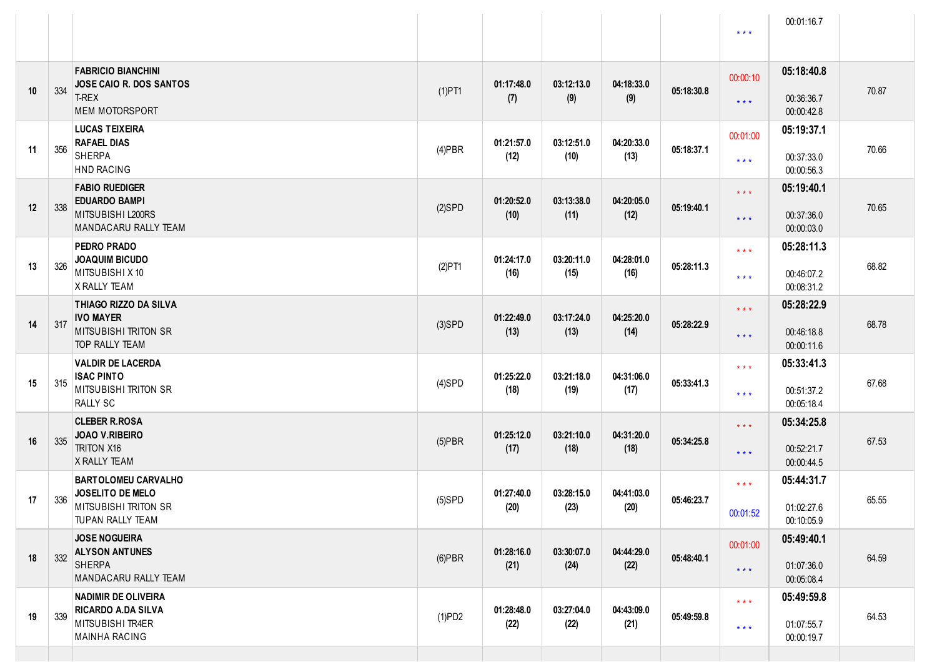|    |     |                                                                                                     |           |                    |                    |                    |            | $***$                                              | 00:01:16.7                             |       |
|----|-----|-----------------------------------------------------------------------------------------------------|-----------|--------------------|--------------------|--------------------|------------|----------------------------------------------------|----------------------------------------|-------|
| 10 | 334 | <b>FABRICIO BIANCHINI</b><br>JOSE CAIO R. DOS SANTOS<br><b>T-REX</b><br><b>MEM MOTORSPORT</b>       | $(1)$ PT1 | 01:17:48.0<br>(7)  | 03:12:13.0<br>(9)  | 04:18:33.0<br>(9)  | 05:18:30.8 | 00:00:10<br>$***$                                  | 05:18:40.8<br>00:36:36.7<br>00:00:42.8 | 70.87 |
| 11 | 356 | <b>LUCAS TEIXEIRA</b><br><b>RAFAEL DIAS</b><br><b>SHERPA</b><br><b>HND RACING</b>                   | $(4)$ PBR | 01:21:57.0<br>(12) | 03:12:51.0<br>(10) | 04:20:33.0<br>(13) | 05:18:37.1 | 00:01:00<br>$\star\star\star$                      | 05:19:37.1<br>00:37:33.0<br>00:00:56.3 | 70.66 |
| 12 | 338 | <b>FABIO RUEDIGER</b><br><b>EDUARDO BAMPI</b><br>MITSUBISHI L200RS<br>MANDACARU RALLY TEAM          | $(2)$ SPD | 01:20:52.0<br>(10) | 03:13:38.0<br>(11) | 04:20:05.0<br>(12) | 05:19:40.1 | $\star$ $\star$ $\star$<br>$***$                   | 05:19:40.1<br>00:37:36.0<br>00:00:03.0 | 70.65 |
| 13 | 326 | PEDRO PRADO<br><b>JOAQUIM BICUDO</b><br>MITSUBISHI X 10<br>X RALLY TEAM                             | $(2)$ PT1 | 01:24:17.0<br>(16) | 03:20:11.0<br>(15) | 04:28:01.0<br>(16) | 05:28:11.3 | $\star$ $\star$ $\star$<br>$***$                   | 05:28:11.3<br>00:46:07.2<br>00:08:31.2 | 68.82 |
| 14 | 317 | THIAGO RIZZO DA SILVA<br><b>IVO MAYER</b><br><b>MITSUBISHI TRITON SR</b><br><b>TOP RALLY TEAM</b>   | $(3)$ SPD | 01:22:49.0<br>(13) | 03:17:24.0<br>(13) | 04:25:20.0<br>(14) | 05:28:22.9 | $\star$ $\star$ $\star$<br>$\star \star \star$     | 05:28:22.9<br>00:46:18.8<br>00:00:11.6 | 68.78 |
| 15 | 315 | <b>VALDIR DE LACERDA</b><br><b>ISAC PINTO</b><br>MITSUBISHI TRITON SR<br><b>RALLY SC</b>            | $(4)$ SPD | 01:25:22.0<br>(18) | 03:21:18.0<br>(19) | 04:31:06.0<br>(17) | 05:33:41.3 | $\star$ $\star$ $\star$<br>$***$                   | 05:33:41.3<br>00:51:37.2<br>00:05:18.4 | 67.68 |
| 16 | 335 | <b>CLEBER R.ROSA</b><br><b>JOAO V.RIBEIRO</b><br><b>TRITON X16</b><br>X RALLY TEAM                  | $(5)$ PBR | 01:25:12.0<br>(17) | 03:21:10.0<br>(18) | 04:31:20.0<br>(18) | 05:34:25.8 | $\star$ $\star$ $\star$<br>$***$                   | 05:34:25.8<br>00:52:21.7<br>00:00:44.5 | 67.53 |
| 17 | 336 | <b>BARTOLOMEU CARVALHO</b><br>JOSELITO DE MELO<br><b>MITSUBISHI TRITON SR</b><br>TUPAN RALLY TEAM   | $(5)$ SPD | 01:27:40.0<br>(20) | 03:28:15.0<br>(23) | 04:41:03.0<br>(20) | 05:46:23.7 | $\star$ $\star$ $\star$<br>00:01:52                | 05:44:31.7<br>01:02:27.6<br>00:10:05.9 | 65.55 |
| 18 | 332 | <b>JOSE NOGUEIRA</b><br><b>ALYSON ANTUNES</b><br><b>SHERPA</b><br><b>MANDACARU RALLY TEAM</b>       | $(6)$ PBR | 01:28:16.0<br>(21) | 03:30:07.0<br>(24) | 04:44:29.0<br>(22) | 05:48:40.1 | 00:01:00<br>$\star$ $\star$ $\star$                | 05:49:40.1<br>01:07:36.0<br>00:05:08.4 | 64.59 |
| 19 | 339 | <b>NADIMIR DE OLIVEIRA</b><br><b>RICARDO A.DA SILVA</b><br>MITSUBISHI TR4ER<br><b>MAINHA RACING</b> | (1)PD2    | 01:28:48.0<br>(22) | 03:27:04.0<br>(22) | 04:43:09.0<br>(21) | 05:49:59.8 | $\star$ $\star$ $\star$<br>$\star$ $\star$ $\star$ | 05:49:59.8<br>01:07:55.7<br>00:00:19.7 | 64.53 |
|    |     |                                                                                                     |           |                    |                    |                    |            |                                                    |                                        |       |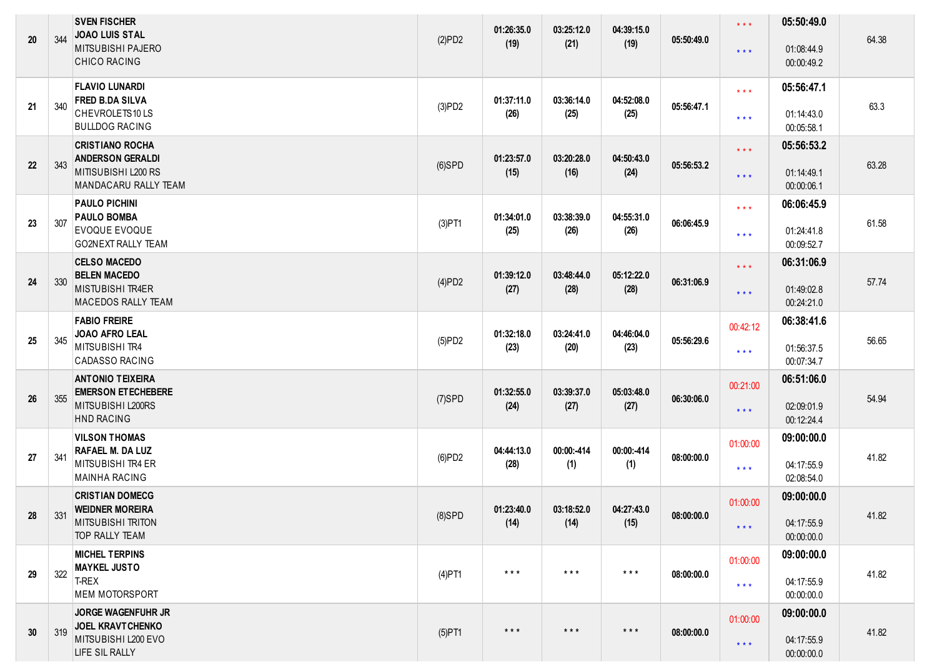| 20 | 344 | <b>SVEN FISCHER</b><br><b>JOAO LUIS STAL</b><br><b>MITSUBISHI PAJERO</b><br>CHICO RACING              | (2)PD2    | 01:26:35.0<br>(19)      | 03:25:12.0<br>(21) | 04:39:15.0<br>(19)      | 05:50:49.0 | $\star$ $\star$ $\star$<br>$***$                   | 05:50:49.0<br>01:08:44.9<br>00:00:49.2 | 64.38 |
|----|-----|-------------------------------------------------------------------------------------------------------|-----------|-------------------------|--------------------|-------------------------|------------|----------------------------------------------------|----------------------------------------|-------|
| 21 | 340 | <b>FLAVIO LUNARDI</b><br><b>FRED B.DA SILVA</b><br>CHEVROLETS10LS<br><b>BULLDOG RACING</b>            | (3)PD2    | 01:37:11.0<br>(26)      | 03:36:14.0<br>(25) | 04:52:08.0<br>(25)      | 05:56:47.1 | $\star$ $\star$ $\star$<br>$\star$ $\star$ $\star$ | 05:56:47.1<br>01:14:43.0<br>00:05:58.1 | 63.3  |
| 22 | 343 | <b>CRISTIANO ROCHA</b><br><b>ANDERSON GERALDI</b><br>MITISUBISHI L200 RS<br>MANDACARU RALLY TEAM      | $(6)$ SPD | 01:23:57.0<br>(15)      | 03:20:28.0<br>(16) | 04:50:43.0<br>(24)      | 05:56:53.2 | $\star$ $\star$ $\star$<br>$***$                   | 05:56:53.2<br>01:14:49.1<br>00:00:06.1 | 63.28 |
| 23 | 307 | <b>PAULO PICHINI</b><br><b>PAULO BOMBA</b><br><b>EVOQUE EVOQUE</b><br><b>GO2NEXT RALLY TEAM</b>       | $(3)$ PT1 | 01:34:01.0<br>(25)      | 03:38:39.0<br>(26) | 04:55:31.0<br>(26)      | 06:06:45.9 | $\star$ $\star$ $\star$<br>$***$                   | 06:06:45.9<br>01:24:41.8<br>00:09:52.7 | 61.58 |
| 24 | 330 | <b>CELSO MACEDO</b><br><b>BELEN MACEDO</b><br>MISTUBISHI TR4ER<br><b>MACEDOS RALLY TEAM</b>           | (4)PD2    | 01:39:12.0<br>(27)      | 03:48:44.0<br>(28) | 05:12:22.0<br>(28)      | 06:31:06.9 | $\star$ $\star$ $\star$<br>$\star$ $\star$ $\star$ | 06:31:06.9<br>01:49:02.8<br>00:24:21.0 | 57.74 |
| 25 | 345 | <b>FABIO FREIRE</b><br>JOAO AFRO LEAL<br>MITSUBISHI TR4<br><b>CADASSO RACING</b>                      | (5)PD2    | 01:32:18.0<br>(23)      | 03:24:41.0<br>(20) | 04:46:04.0<br>(23)      | 05:56:29.6 | 00:42:12<br>$\star$ $\star$ $\star$                | 06:38:41.6<br>01:56:37.5<br>00:07:34.7 | 56.65 |
| 26 | 355 | <b>ANTONIO TEIXEIRA</b><br><b>EMERSON ET ECHEBERE</b><br>MITSUBISHI L200RS<br><b>HND RACING</b>       | $(7)$ SPD | 01:32:55.0<br>(24)      | 03:39:37.0<br>(27) | 05:03:48.0<br>(27)      | 06:30:06.0 | 00:21:00<br>$***$                                  | 06:51:06.0<br>02:09:01.9<br>00:12:24.4 | 54.94 |
| 27 | 341 | <b>VILSON THOMAS</b><br><b>RAFAEL M. DA LUZ</b><br>MITSUBISHI TR4 ER<br><b>MAINHA RACING</b>          | (6)PD2    | 04:44:13.0<br>(28)      | 00:00:-414<br>(1)  | 00:00:-414<br>(1)       | 08:00:00.0 | 01:00:00<br>$\star$ $\star$ $\star$                | 09:00:00.0<br>04:17:55.9<br>02:08:54.0 | 41.82 |
| 28 | 331 | <b>CRISTIAN DOMECG</b><br><b>WEIDNER MOREIRA</b><br><b>MITSUBISHI TRITON</b><br><b>TOP RALLY TEAM</b> | $(8)$ SPD | 01:23:40.0<br>(14)      | 03:18:52.0<br>(14) | 04:27:43.0<br>(15)      | 08:00:00.0 | 01:00:00<br>$\star$ $\star$ $\star$                | 09:00:00.0<br>04:17:55.9<br>00:00:00.0 | 41.82 |
| 29 | 322 | <b>MICHEL TERPINS</b><br><b>MAYKEL JUSTO</b><br>T-REX<br><b>MEM MOTORSPORT</b>                        | $(4)$ PT1 | $***$                   | $***$              | $\star$ $\star$ $\star$ | 08:00:00.0 | 01:00:00<br>$\star$ $\star$ $\star$                | 09:00:00.0<br>04:17:55.9<br>00:00:00.0 | 41.82 |
| 30 | 319 | <b>JORGE WAGENFUHR JR</b><br><b>JOEL KRAVTCHENKO</b><br>MITSUBISHI L200 EVO<br>LIFE SIL RALLY         | $(5)$ PT1 | $\star$ $\star$ $\star$ | $***$              | $\star$ $\star$ $\star$ | 08:00:00.0 | 01:00:00<br>$\star$ $\star$ $\star$                | 09:00:00.0<br>04:17:55.9<br>00:00:00.0 | 41.82 |